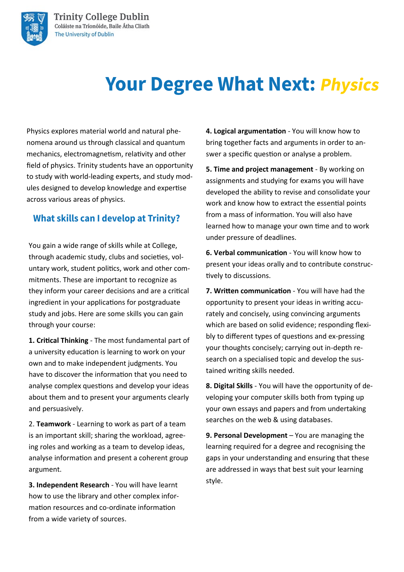

# **Your Degree What Next: Physics**

Physics explores material world and natural phenomena around us through classical and quantum mechanics, electromagnetism, relativity and other field of physics. Trinity students have an opportunity to study with world-leading experts, and study modules designed to develop knowledge and expertise across various areas of physics.

### **What skills can I develop at Trinity?**

You gain a wide range of skills while at College, through academic study, clubs and societies, voluntary work, student politics, work and other commitments. These are important to recognize as they inform your career decisions and are a critical ingredient in your applications for postgraduate study and jobs. Here are some skills you can gain through your course:

**1. Critical Thinking** - The most fundamental part of a university education is learning to work on your own and to make independent judgments. You have to discover the information that you need to analyse complex questions and develop your ideas about them and to present your arguments clearly and persuasively.

2. **Teamwork** - Learning to work as part of a team is an important skill; sharing the workload, agreeing roles and working as a team to develop ideas, analyse information and present a coherent group argument.

**3. Independent Research** - You will have learnt how to use the library and other complex information resources and co-ordinate information from a wide variety of sources.

**4. Logical argumentation** - You will know how to bring together facts and arguments in order to answer a specific question or analyse a problem.

**5. Time and project management** - By working on assignments and studying for exams you will have developed the ability to revise and consolidate your work and know how to extract the essential points from a mass of information. You will also have learned how to manage your own time and to work under pressure of deadlines.

**6. Verbal communication** - You will know how to present your ideas orally and to contribute constructively to discussions.

**7. Written communication** - You will have had the opportunity to present your ideas in writing accurately and concisely, using convincing arguments which are based on solid evidence; responding flexibly to different types of questions and ex-pressing your thoughts concisely; carrying out in-depth research on a specialised topic and develop the sustained writing skills needed.

**8. Digital Skills** - You will have the opportunity of developing your computer skills both from typing up your own essays and papers and from undertaking searches on the web & using databases.

**9. Personal Development** – You are managing the learning required for a degree and recognising the gaps in your understanding and ensuring that these are addressed in ways that best suit your learning style.